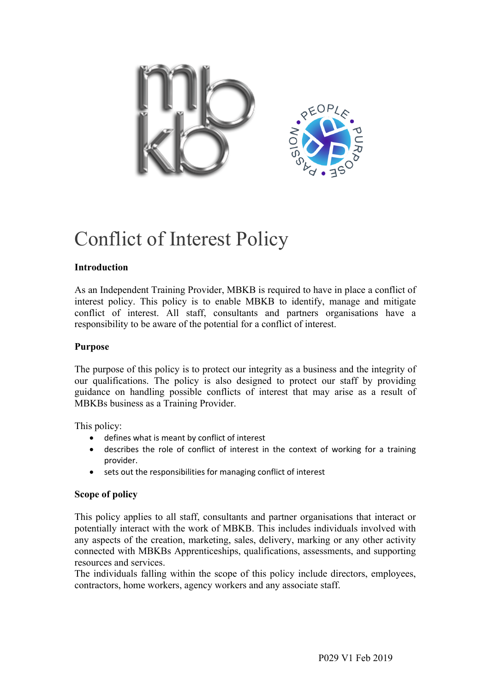

# Conflict of Interest Policy

# **Introduction**

As an Independent Training Provider, MBKB is required to have in place a conflict of interest policy. This policy is to enable MBKB to identify, manage and mitigate conflict of interest. All staff, consultants and partners organisations have a responsibility to be aware of the potential for a conflict of interest.

#### **Purpose**

The purpose of this policy is to protect our integrity as a business and the integrity of our qualifications. The policy is also designed to protect our staff by providing guidance on handling possible conflicts of interest that may arise as a result of MBKBs business as a Training Provider.

This policy:

- defines what is meant by conflict of interest
- describes the role of conflict of interest in the context of working for a training provider.
- sets out the responsibilities for managing conflict of interest

# **Scope of policy**

This policy applies to all staff, consultants and partner organisations that interact or potentially interact with the work of MBKB. This includes individuals involved with any aspects of the creation, marketing, sales, delivery, marking or any other activity connected with MBKBs Apprenticeships, qualifications, assessments, and supporting resources and services.

The individuals falling within the scope of this policy include directors, employees, contractors, home workers, agency workers and any associate staff.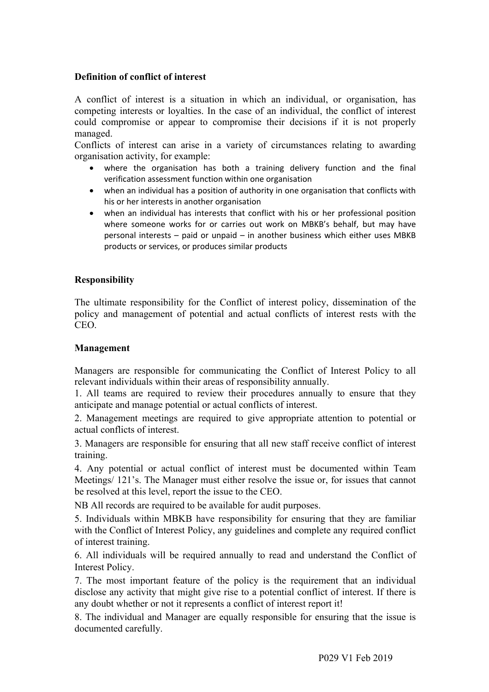# **Definition of conflict of interest**

A conflict of interest is a situation in which an individual, or organisation, has competing interests or loyalties. In the case of an individual, the conflict of interest could compromise or appear to compromise their decisions if it is not properly managed.

Conflicts of interest can arise in a variety of circumstances relating to awarding organisation activity, for example:

- where the organisation has both a training delivery function and the final verification assessment function within one organisation
- when an individual has a position of authority in one organisation that conflicts with his or her interests in another organisation
- when an individual has interests that conflict with his or her professional position where someone works for or carries out work on MBKB's behalf, but may have personal interests – paid or unpaid – in another business which either uses MBKB products or services, or produces similar products

#### **Responsibility**

The ultimate responsibility for the Conflict of interest policy, dissemination of the policy and management of potential and actual conflicts of interest rests with the CEO.

#### **Management**

Managers are responsible for communicating the Conflict of Interest Policy to all relevant individuals within their areas of responsibility annually.

1. All teams are required to review their procedures annually to ensure that they anticipate and manage potential or actual conflicts of interest.

2. Management meetings are required to give appropriate attention to potential or actual conflicts of interest.

3. Managers are responsible for ensuring that all new staff receive conflict of interest training.

4. Any potential or actual conflict of interest must be documented within Team Meetings/ 121's. The Manager must either resolve the issue or, for issues that cannot be resolved at this level, report the issue to the CEO.

NB All records are required to be available for audit purposes.

5. Individuals within MBKB have responsibility for ensuring that they are familiar with the Conflict of Interest Policy, any guidelines and complete any required conflict of interest training.

6. All individuals will be required annually to read and understand the Conflict of Interest Policy.

7. The most important feature of the policy is the requirement that an individual disclose any activity that might give rise to a potential conflict of interest. If there is any doubt whether or not it represents a conflict of interest report it!

8. The individual and Manager are equally responsible for ensuring that the issue is documented carefully.